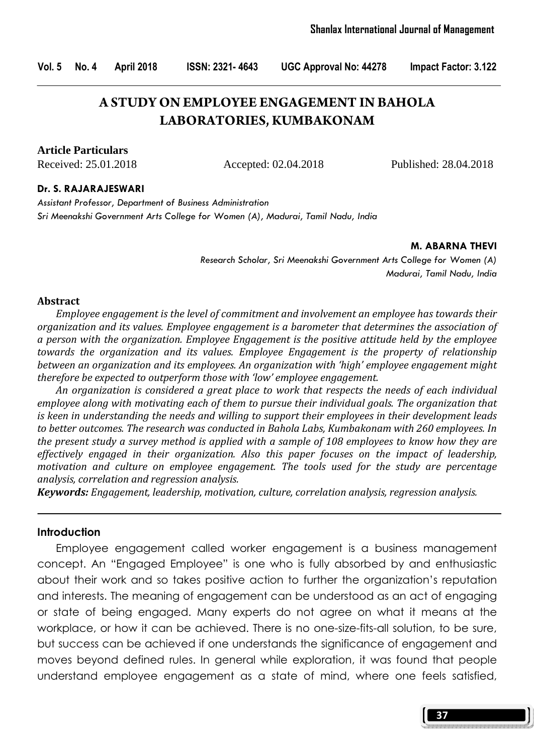Vol. 5 No. 4 April 2018 ISSN: 2321- 4643 UGC Approval No: 44278 Impact Factor: 3.122

# **A STUDY ON EMPLOYEE ENGAGEMENT IN BAHOLA LABORATORIES, KUMBAKONAM**

**Article Particulars**

Received: 25.01.2018 Accepted: 02.04.2018 Published: 28.04.2018

#### Dr. S. RAJARAJESWARI

Assistant Professor, Department of Business Administration Sri Meenakshi Government Arts College for Women (A), Madurai, Tamil Nadu, India

#### M. ABARNA THEVI

Research Scholar, Sri Meenakshi Government Arts College for Women (A) Madurai, Tamil Nadu, India

#### Abstract

 Employee engagement is the level of commitment and involvement an employee has towards their organization and its values. Employee engagement is a barometer that determines the association of a person with the organization. Employee Engagement is the positive attitude held by the employee towards the organization and its values. Employee Engagement is the property of relationship between an organization and its employees. An organization with 'high' employee engagement might therefore be expected to outperform those with 'low' employee engagement.

 An organization is considered a great place to work that respects the needs of each individual employee along with motivating each of them to pursue their individual goals. The organization that is keen in understanding the needs and willing to support their employees in their development leads to better outcomes. The research was conducted in Bahola Labs, Kumbakonam with 260 employees. In the present study a survey method is applied with a sample of 108 employees to know how they are effectively engaged in their organization. Also this paper focuses on the impact of leadership, motivation and culture on employee engagement. The tools used for the study are percentage analysis, correlation and regression analysis.

Keywords: Engagement, leadership, motivation, culture, correlation analysis, regression analysis.

#### Introduction

 Employee engagement called worker engagement is a business management concept. An "Engaged Employee" is one who is fully absorbed by and enthusiastic about their work and so takes positive action to further the organization's reputation and interests. The meaning of engagement can be understood as an act of engaging or state of being engaged. Many experts do not agree on what it means at the workplace, or how it can be achieved. There is no one-size-fits-all solution, to be sure, but success can be achieved if one understands the significance of engagement and moves beyond defined rules. In general while exploration, it was found that people understand employee engagement as a state of mind, where one feels satisfied,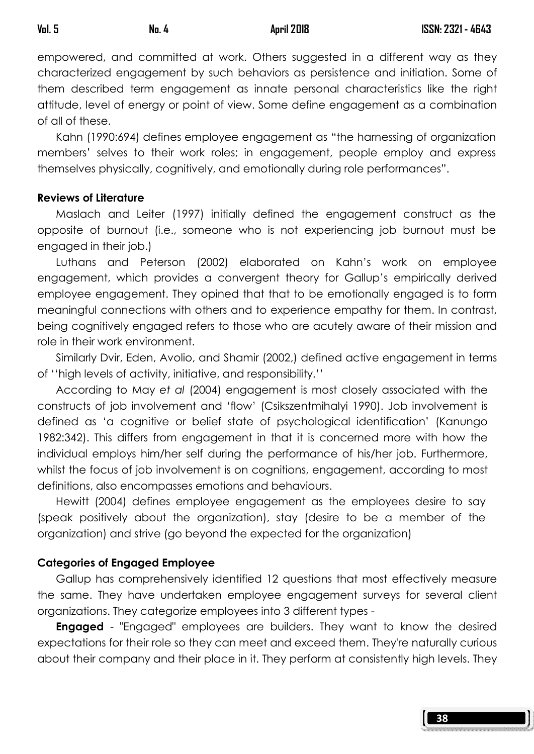empowered, and committed at work. Others suggested in a different way as they characterized engagement by such behaviors as persistence and initiation. Some of them described term engagement as innate personal characteristics like the right attitude, level of energy or point of view. Some define engagement as a combination of all of these.

 Kahn (1990:694) defines employee engagement as "the harnessing of organization members' selves to their work roles; in engagement, people employ and express themselves physically, cognitively, and emotionally during role performances".

## Reviews of Literature

 Maslach and Leiter (1997) initially defined the engagement construct as the opposite of burnout (i.e., someone who is not experiencing job burnout must be engaged in their job.)

 Luthans and Peterson (2002) elaborated on Kahn's work on employee engagement, which provides a convergent theory for Gallup's empirically derived employee engagement. They opined that that to be emotionally engaged is to form meaningful connections with others and to experience empathy for them. In contrast, being cognitively engaged refers to those who are acutely aware of their mission and role in their work environment.

 Similarly Dvir, Eden, Avolio, and Shamir (2002,) defined active engagement in terms of ''high levels of activity, initiative, and responsibility.''

 According to May et al (2004) engagement is most closely associated with the constructs of job involvement and 'flow' (Csikszentmihalyi 1990). Job involvement is defined as 'a cognitive or belief state of psychological identification' (Kanungo 1982:342). This differs from engagement in that it is concerned more with how the individual employs him/her self during the performance of his/her job. Furthermore, whilst the focus of job involvement is on cognitions, engagement, according to most definitions, also encompasses emotions and behaviours.

 Hewitt (2004) defines employee engagement as the employees desire to say (speak positively about the organization), stay (desire to be a member of the organization) and strive (go beyond the expected for the organization)

# Categories of Engaged Employee

 Gallup has comprehensively identified 12 questions that most effectively measure the same. They have undertaken employee engagement surveys for several client organizations. They categorize employees into 3 different types -

**Engaged** - "Engaged" employees are builders. They want to know the desired expectations for their role so they can meet and exceed them. They're naturally curious about their company and their place in it. They perform at consistently high levels. They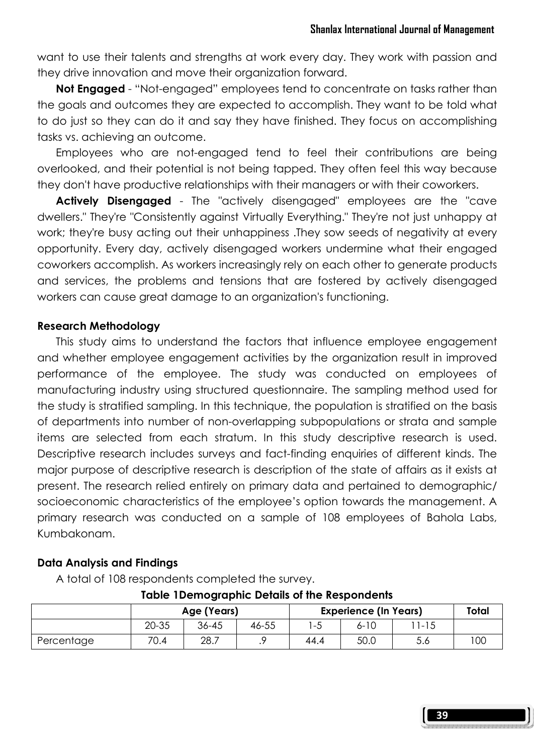want to use their talents and strengths at work every day. They work with passion and they drive innovation and move their organization forward.

Not Engaged - "Not-engaged" employees tend to concentrate on tasks rather than the goals and outcomes they are expected to accomplish. They want to be told what to do just so they can do it and say they have finished. They focus on accomplishing tasks vs. achieving an outcome.

 Employees who are not-engaged tend to feel their contributions are being overlooked, and their potential is not being tapped. They often feel this way because they don't have productive relationships with their managers or with their coworkers.

Actively Disengaged - The "actively disengaged" employees are the "cave dwellers." They're "Consistently against Virtually Everything." They're not just unhappy at work; they're busy acting out their unhappiness .They sow seeds of negativity at every opportunity. Every day, actively disengaged workers undermine what their engaged coworkers accomplish. As workers increasingly rely on each other to generate products and services, the problems and tensions that are fostered by actively disengaged workers can cause great damage to an organization's functioning.

## Research Methodology

 This study aims to understand the factors that influence employee engagement and whether employee engagement activities by the organization result in improved performance of the employee. The study was conducted on employees of manufacturing industry using structured questionnaire. The sampling method used for the study is stratified sampling. In this technique, the population is stratified on the basis of departments into number of non-overlapping subpopulations or strata and sample items are selected from each stratum. In this study descriptive research is used. Descriptive research includes surveys and fact-finding enquiries of different kinds. The major purpose of descriptive research is description of the state of affairs as it exists at present. The research relied entirely on primary data and pertained to demographic/ socioeconomic characteristics of the employee's option towards the management. A primary research was conducted on a sample of 108 employees of Bahola Labs, Kumbakonam.

#### Data Analysis and Findings

A total of 108 respondents completed the survey.

|            |       | Age (Years) |       | <b>Experience (In Years)</b> | Total    |        |     |
|------------|-------|-------------|-------|------------------------------|----------|--------|-----|
|            | 20-35 | 36-45       | 46-55 | -5                           | $6 - 10$ | ' 1-15 |     |
| Percentage | 70.4  | 28.7        |       | 44.4                         | 50.0     | 5.6    | 100 |

## Table 1Demographic Details of the Respondents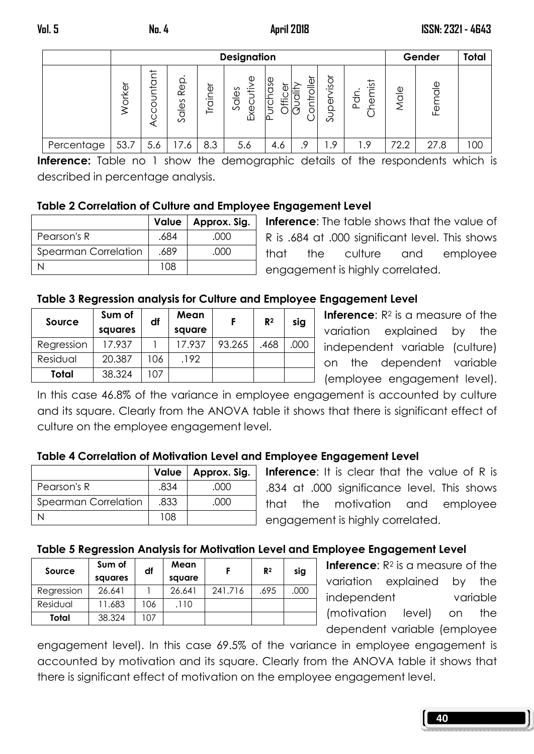|            | <b>Designation</b> |                     |                                      |                              |                                |                |        |                        | Gender                                    | Total                   |             |     |
|------------|--------------------|---------------------|--------------------------------------|------------------------------|--------------------------------|----------------|--------|------------------------|-------------------------------------------|-------------------------|-------------|-----|
|            | orker              | ⇇<br>$\frac{1}{10}$ | <b>Rep.</b><br>ales<br>$\mathcal{L}$ | Φ<br>$\overline{a}$<br>Trair | Φ<br>Sales<br>宝<br>ပ<br>Ō<br>Ă | ase<br>ŧ٢<br>ட | ğ<br>卡 | visor<br>5<br>ه<br>Sup | $\frac{1}{2}$<br>ਹੋ<br>$\Phi$<br>$\Omega$ | $\frac{0}{\sigma}$<br>↸ | Φ<br>ㅎ<br>卫 |     |
| Percentage | 53.7               | 5.6                 | 17.6                                 | 8.3                          | 5.6                            | 4.6            | 9.     | 1.9                    | 1.9                                       | 72.2                    | 27.8        | 100 |

Inference: Table no 1 show the demographic details of the respondents which is described in percentage analysis.

## Table 2 Correlation of Culture and Employee Engagement Level

|                      |      | Value   Approx. Sig. |
|----------------------|------|----------------------|
| Pearson's R          | .684 | .OOO                 |
| Spearman Correlation | .689 | .OOO                 |
|                      | 108  |                      |

Inference: The table shows that the value of R is .684 at .000 significant level. This shows that the culture and employee engagement is highly correlated.

# Table 3 Regression analysis for Culture and Employee Engagement Level

| Source     | Sum of<br>squares | df  | Mean<br>square |        | R <sup>2</sup> | sig  |
|------------|-------------------|-----|----------------|--------|----------------|------|
| Regression | 17.937            |     | 17.937         | 93.265 | .468           | .000 |
| Residual   | 20.387            | 106 | .192           |        |                |      |
| Total      | 38.324            | 107 |                |        |                |      |

**Inference:**  $R^2$  is a measure of the variation explained by the independent variable (culture) on the dependent variable (employee engagement level).

In this case 46.8% of the variance in employee engagement is accounted by culture and its square. Clearly from the ANOVA table it shows that there is significant effect of culture on the employee engagement level.

# Table 4 Correlation of Motivation Level and Employee Engagement Level

|                      |      | Value   Approx. Sig. |
|----------------------|------|----------------------|
| Pearson's R          | .834 | റററ                  |
| Spearman Correlation | .833 | റററ                  |
|                      | 108  |                      |

Inference: It is clear that the value of R is .834 at .000 significance level. This shows that the motivation and employee engagement is highly correlated.

# Table 5 Regression Analysis for Motivation Level and Employee Engagement Level

| Source     | Sum of<br>squares | df  | Mean<br>square |         | R <sup>2</sup> | sig  |
|------------|-------------------|-----|----------------|---------|----------------|------|
| Regression | 26.641            |     | 26.641         | 241.716 | .695           | .000 |
| Residual   | 11.683            | 106 | .110           |         |                |      |
| Total      | 38.324            | 107 |                |         |                |      |

**Inference:**  $R^2$  is a measure of the variation explained by the independent variable (motivation level) on the dependent variable (employee

engagement level). In this case 69.5% of the variance in employee engagement is accounted by motivation and its square. Clearly from the ANOVA table it shows that there is significant effect of motivation on the employee engagement level.

| FUN DON FUN FUN FUN FUN PUN POOP FUN FUN FUN POOP FUN FUN FUN PUN POOP FUN FUN FUN FUN FOOR FUN FUN FUN DOOR FUN |  |  |  |
|------------------------------------------------------------------------------------------------------------------|--|--|--|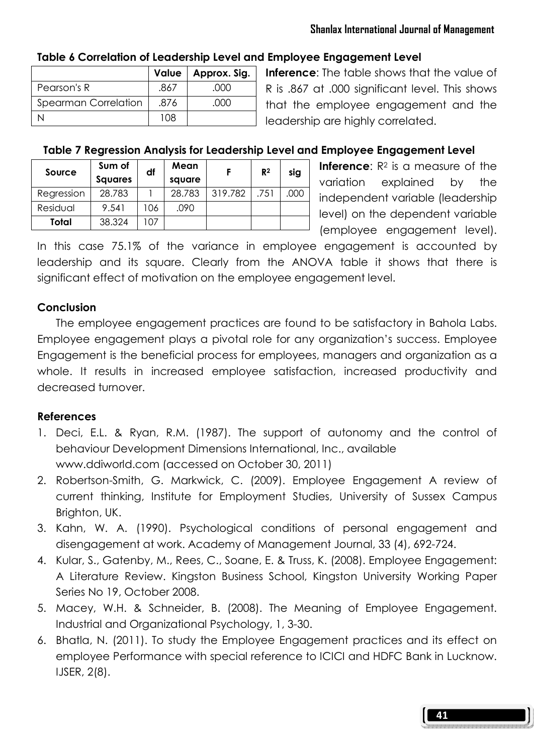#### Shanlax International Journal of Management

# Table 6 Correlation of Leadership Level and Employee Engagement Level

|                      |      | Value   Approx. Sig. |
|----------------------|------|----------------------|
| Pearson's R          | .867 | .000                 |
| Spearman Correlation | .876 | റററ                  |
|                      | 108  |                      |

**Inference:** The table shows that the value of R is .867 at .000 significant level. This shows that the employee engagement and the leadership are highly correlated.

## Table 7 Regression Analysis for Leadership Level and Employee Engagement Level

| Source     | Sum of<br><b>Squares</b> | df  | Mean<br>square |         | R <sup>2</sup> | sig  |
|------------|--------------------------|-----|----------------|---------|----------------|------|
| Regression | 28.783                   |     | 28.783         | 319.782 | .751           | .000 |
| Residual   | 9.541                    | 106 | .090           |         |                |      |
| Total      | 38.324                   | 07  |                |         |                |      |

**Inference:**  $R^2$  is a measure of the variation explained by the independent variable (leadership level) on the dependent variable (employee engagement level).

In this case 75.1% of the variance in employee engagement is accounted by leadership and its square. Clearly from the ANOVA table it shows that there is significant effect of motivation on the employee engagement level.

#### **Conclusion**

 The employee engagement practices are found to be satisfactory in Bahola Labs. Employee engagement plays a pivotal role for any organization's success. Employee Engagement is the beneficial process for employees, managers and organization as a whole. It results in increased employee satisfaction, increased productivity and decreased turnover.

#### References

- 1. Deci, E.L. & Ryan, R.M. (1987). The support of autonomy and the control of behaviour Development Dimensions International, Inc., available www.ddiworld.com (accessed on October 30, 2011)
- 2. Robertson-Smith, G. Markwick, C. (2009). Employee Engagement A review of current thinking, Institute for Employment Studies, University of Sussex Campus Brighton, UK.
- 3. Kahn, W. A. (1990). Psychological conditions of personal engagement and disengagement at work. Academy of Management Journal, 33 (4), 692-724.
- 4. Kular, S., Gatenby, M., Rees, C., Soane, E. & Truss, K. (2008). Employee Engagement: A Literature Review. Kingston Business School, Kingston University Working Paper Series No 19, October 2008.
- 5. Macey, W.H. & Schneider, B. (2008). The Meaning of Employee Engagement. Industrial and Organizational Psychology, 1, 3-30.
- 6. Bhatla, N. (2011). To study the Employee Engagement practices and its effect on employee Performance with special reference to ICICI and HDFC Bank in Lucknow. IJSER, 2(8).